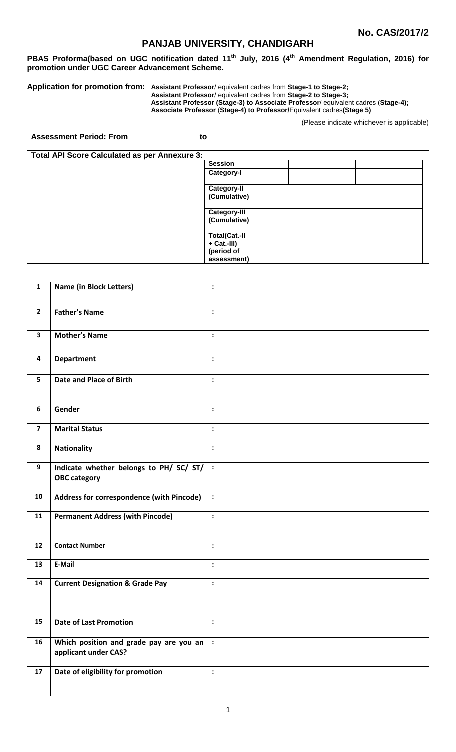# **PANJAB UNIVERSITY, CHANDIGARH**

**PBAS Proforma(based on UGC notification dated 11th July, 2016 (4 th Amendment Regulation, 2016) for promotion under UGC Career Advancement Scheme.**

#### **Application for promotion from: Assistant Professor**/ equivalent cadres from **Stage-1 to Stage-2; Assistant Professor**/ equivalent cadres from **Stage-2 to Stage-3; Assistant Professor (Stage-3) to Associate Professor**/ equivalent cadres (**Stage-4); Associate Professor** (**Stage-4) to Professor/**Equivalent cadres**(Stage 5)**

(Please indicate whichever is applicable)

| <b>Assessment Period: From</b>                       | to                                                |  |  |  |
|------------------------------------------------------|---------------------------------------------------|--|--|--|
| <b>Total API Score Calculated as per Annexure 3:</b> |                                                   |  |  |  |
|                                                      | <b>Session</b>                                    |  |  |  |
|                                                      | Category-I                                        |  |  |  |
|                                                      | <b>Category-II</b><br>(Cumulative)                |  |  |  |
|                                                      | <b>Category-III</b><br>(Cumulative)               |  |  |  |
|                                                      | <b>Total(Cat.-II</b><br>+ Cat.-III)<br>(period of |  |  |  |
|                                                      | assessment)                                       |  |  |  |

| $\mathbf{1}$            | <b>Name (in Block Letters)</b>                                  | $\ddot{\phantom{a}}$ |
|-------------------------|-----------------------------------------------------------------|----------------------|
| $\mathbf{2}$            | <b>Father's Name</b>                                            | $\ddot{\cdot}$       |
| $\mathbf{3}$            | <b>Mother's Name</b>                                            | $\ddot{\cdot}$       |
| 4                       | <b>Department</b>                                               | $\ddot{\cdot}$       |
| 5                       | <b>Date and Place of Birth</b>                                  | $\ddot{\cdot}$       |
| 6                       | Gender                                                          | $\ddot{\cdot}$       |
| $\overline{\mathbf{z}}$ | <b>Marital Status</b>                                           | $\ddot{\cdot}$       |
| 8                       | <b>Nationality</b>                                              | $\ddot{\cdot}$       |
| 9                       | Indicate whether belongs to PH/ SC/ ST/<br><b>OBC category</b>  | $\cdot$ :            |
| 10                      | Address for correspondence (with Pincode)                       | $\colon$             |
| 11                      | <b>Permanent Address (with Pincode)</b>                         | $\colon$             |
| 12                      | <b>Contact Number</b>                                           | $\ddot{\phantom{a}}$ |
| 13                      | E-Mail                                                          | $\ddot{\cdot}$       |
| 14                      | <b>Current Designation &amp; Grade Pay</b>                      | $\colon$             |
| 15                      | <b>Date of Last Promotion</b>                                   | $\cdot$              |
| 16                      | Which position and grade pay are you an<br>applicant under CAS? | $\ddot{\cdot}$       |
| ${\bf 17}$              | Date of eligibility for promotion                               | $\colon$             |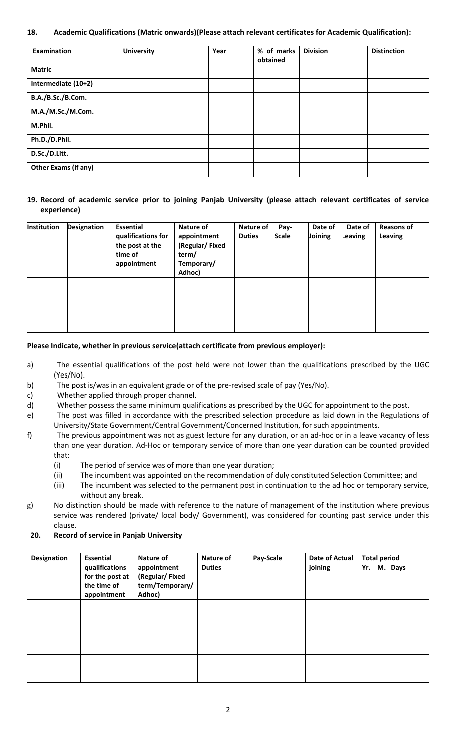#### **18. Academic Qualifications (Matric onwards)(Please attach relevant certificates for Academic Qualification):**

| Examination          | <b>University</b> | Year | % of marks<br>obtained | <b>Division</b> | <b>Distinction</b> |
|----------------------|-------------------|------|------------------------|-----------------|--------------------|
| <b>Matric</b>        |                   |      |                        |                 |                    |
| Intermediate (10+2)  |                   |      |                        |                 |                    |
| B.A./B.Sc./B.Com.    |                   |      |                        |                 |                    |
| M.A./M.Sc./M.Com.    |                   |      |                        |                 |                    |
| M.Phil.              |                   |      |                        |                 |                    |
| Ph.D./D.Phil.        |                   |      |                        |                 |                    |
| D.Sc./D.Litt.        |                   |      |                        |                 |                    |
| Other Exams (if any) |                   |      |                        |                 |                    |

#### **19. Record of academic service prior to joining Panjab University (please attach relevant certificates of service experience)**

| Institution | <b>Designation</b> | <b>Essential</b><br>qualifications for<br>the post at the<br>time of<br>appointment | Nature of<br>appointment<br>(Regular/Fixed<br>term/<br>Temporary/<br>Adhoc) | Nature of<br><b>Duties</b> | Pay-<br><b>Scale</b> | Date of<br>Joining | Date of<br>Leaving | <b>Reasons of</b><br>Leaving |
|-------------|--------------------|-------------------------------------------------------------------------------------|-----------------------------------------------------------------------------|----------------------------|----------------------|--------------------|--------------------|------------------------------|
|             |                    |                                                                                     |                                                                             |                            |                      |                    |                    |                              |
|             |                    |                                                                                     |                                                                             |                            |                      |                    |                    |                              |

#### **Please Indicate, whether in previous service(attach certificate from previous employer):**

- a) The essential qualifications of the post held were not lower than the qualifications prescribed by the UGC (Yes/No).
- b) The post is/was in an equivalent grade or of the pre-revised scale of pay (Yes/No).
- c) Whether applied through proper channel.
- d) Whether possess the same minimum qualifications as prescribed by the UGC for appointment to the post.
- e) The post was filled in accordance with the prescribed selection procedure as laid down in the Regulations of University/State Government/Central Government/Concerned Institution, for such appointments.
- f) The previous appointment was not as guest lecture for any duration, or an ad-hoc or in a leave vacancy of less than one year duration. Ad-Hoc or temporary service of more than one year duration can be counted provided that:
	- (i) The period of service was of more than one year duration;
	- (ii) The incumbent was appointed on the recommendation of duly constituted Selection Committee; and
	- (iii) The incumbent was selected to the permanent post in continuation to the ad hoc or temporary service, without any break.
- g) No distinction should be made with reference to the nature of management of the institution where previous service was rendered (private/ local body/ Government), was considered for counting past service under this clause.

#### **20. Record of service in Panjab University**

| Designation | Essential<br>qualifications<br>for the post at<br>the time of<br>appointment | Nature of<br>appointment<br>(Regular/Fixed<br>term/Temporary/<br>Adhoc) | Nature of<br><b>Duties</b> | Pay-Scale | Date of Actual<br>joining | <b>Total period</b><br>M. Days<br>Yr. |
|-------------|------------------------------------------------------------------------------|-------------------------------------------------------------------------|----------------------------|-----------|---------------------------|---------------------------------------|
|             |                                                                              |                                                                         |                            |           |                           |                                       |
|             |                                                                              |                                                                         |                            |           |                           |                                       |
|             |                                                                              |                                                                         |                            |           |                           |                                       |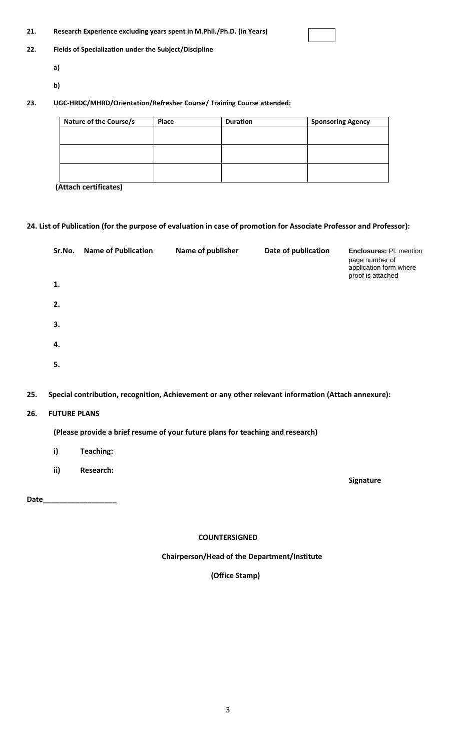| 21. | Research Experience excluding years spent in M.Phil./Ph.D. (in Years) |
|-----|-----------------------------------------------------------------------|
|-----|-----------------------------------------------------------------------|

#### **22. Fields of Specialization under the Subject/Discipline**

- **a)**
- **b)**

#### **23. UGC-HRDC/MHRD/Orientation/Refresher Course/ Training Course attended:**

| Nature of the Course/s | Place | <b>Duration</b> | <b>Sponsoring Agency</b> |
|------------------------|-------|-----------------|--------------------------|
|                        |       |                 |                          |
|                        |       |                 |                          |
|                        |       |                 |                          |
|                        |       |                 |                          |
|                        |       |                 |                          |
|                        |       |                 |                          |

**(Attach certificates)**

#### **24. List of Publication (for the purpose of evaluation in case of promotion for Associate Professor and Professor):**

| Sr.No. | <b>Name of Publication</b> | Name of publisher | Date of publication | <b>Enclosures: Pl. mention</b><br>page number of<br>application form where<br>proof is attached |
|--------|----------------------------|-------------------|---------------------|-------------------------------------------------------------------------------------------------|
| 1.     |                            |                   |                     |                                                                                                 |
| 2.     |                            |                   |                     |                                                                                                 |
| 3.     |                            |                   |                     |                                                                                                 |
| 4.     |                            |                   |                     |                                                                                                 |
| 5.     |                            |                   |                     |                                                                                                 |

#### **25. Special contribution, recognition, Achievement or any other relevant information (Attach annexure):**

#### **26. FUTURE PLANS**

#### **(Please provide a brief resume of your future plans for teaching and research)**

- **i) Teaching:**
- **ii) Research:**

**Date\_\_\_\_\_\_\_\_\_\_\_\_\_\_\_\_\_\_**

**COUNTERSIGNED**

 **Signature**

# **Chairperson/Head of the Department/Institute**

 **(Office Stamp)**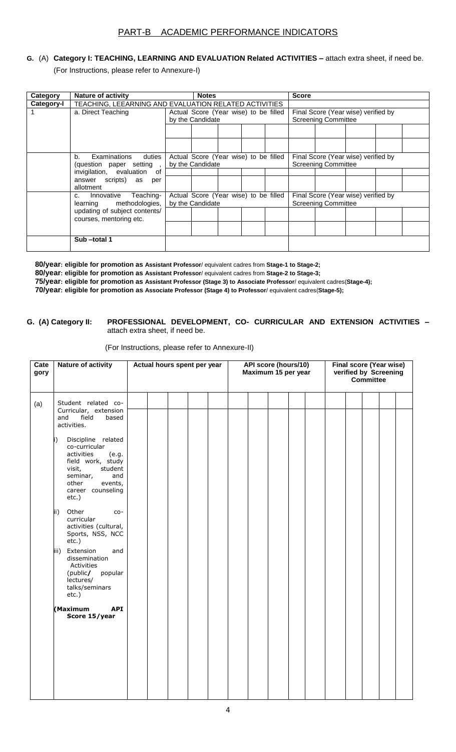# **G.** (A) **Category I: TEACHING, LEARNING AND EVALUATION Related ACTIVITIES –** attach extra sheet, if need be.

(For Instructions, please refer to Annexure-I)

| Category   | Nature of activity                                                    |                                                           | <b>Notes</b>                                              |  |  |  | <b>Score</b>                                                      |                                                                   |  |  |  |  |
|------------|-----------------------------------------------------------------------|-----------------------------------------------------------|-----------------------------------------------------------|--|--|--|-------------------------------------------------------------------|-------------------------------------------------------------------|--|--|--|--|
| Category-I | TEACHING, LEEARNING AND EVALUATION RELATED ACTIVITIES                 |                                                           |                                                           |  |  |  |                                                                   |                                                                   |  |  |  |  |
|            | a. Direct Teaching                                                    | Actual Score (Year wise) to be filled<br>by the Candidate |                                                           |  |  |  | Final Score (Year wise) verified by<br><b>Screening Committee</b> |                                                                   |  |  |  |  |
|            |                                                                       |                                                           |                                                           |  |  |  |                                                                   |                                                                   |  |  |  |  |
|            | b.<br>Examinations duties<br>(question paper setting,                 |                                                           | Actual Score (Year wise) to be filled<br>by the Candidate |  |  |  | Final Score (Year wise) verified by<br><b>Screening Committee</b> |                                                                   |  |  |  |  |
|            | invigilation, evaluation of<br>answer scripts) as<br>per<br>allotment |                                                           |                                                           |  |  |  |                                                                   |                                                                   |  |  |  |  |
|            | Teaching-<br>Innovative<br>C.<br>methodologies,<br>learning           |                                                           | Actual Score (Year wise) to be filled<br>by the Candidate |  |  |  |                                                                   | Final Score (Year wise) verified by<br><b>Screening Committee</b> |  |  |  |  |
|            | updating of subject contents/<br>courses, mentoring etc.              |                                                           |                                                           |  |  |  |                                                                   |                                                                   |  |  |  |  |
|            |                                                                       |                                                           |                                                           |  |  |  |                                                                   |                                                                   |  |  |  |  |
|            | Sub-total 1                                                           |                                                           |                                                           |  |  |  |                                                                   |                                                                   |  |  |  |  |

 **80/year: eligible for promotion as Assistant Professor**/ equivalent cadres from **Stage-1 to Stage-2;**

 **80/year: eligible for promotion as Assistant Professor**/ equivalent cadres from **Stage-2 to Stage-3;** 

 **75/year: eligible for promotion as Assistant Professor (Stage 3) to Associate Professor**/ equivalent cadres(**Stage-4);** 

 **70/year: eligible for promotion as Associate Professor (Stage 4) to Professor**/ equivalent cadres(**Stage-5);** 

#### **G. (A) Category II: PROFESSIONAL DEVELOPMENT, CO- CURRICULAR AND EXTENSION ACTIVITIES –** attach extra sheet, if need be.

| (For Instructions, please refer to Annexure-II) |
|-------------------------------------------------|
|-------------------------------------------------|

| Cate<br>gory | <b>Nature of activity</b>                                                                                                                                                                                                                                                                                                                                                                                                                                                                                                                  | Actual hours spent per year | API score (hours/10)<br>Maximum 15 per year |  |  |  | Final score (Year wise)<br>verified by Screening<br><b>Committee</b> |  |  |  |  |  |
|--------------|--------------------------------------------------------------------------------------------------------------------------------------------------------------------------------------------------------------------------------------------------------------------------------------------------------------------------------------------------------------------------------------------------------------------------------------------------------------------------------------------------------------------------------------------|-----------------------------|---------------------------------------------|--|--|--|----------------------------------------------------------------------|--|--|--|--|--|
| (a)          | Student related co-<br>Curricular, extension<br>field<br>based<br>and<br>activities.<br>Discipline related<br>I)<br>co-curricular<br>activities<br>(e.g.<br>field work, study<br>visit,<br>student<br>seminar,<br>and<br>other<br>events,<br>career counseling<br>etc.)<br>Other<br>ii)<br>$CO -$<br>curricular<br>activities (cultural,<br>Sports, NSS, NCC<br>$etc.$ )<br>iii) Extension<br>and<br>dissemination<br>Activities<br>(public/<br>popular<br>lectures/<br>talks/seminars<br>etc.)<br>(Maximum<br><b>API</b><br>Score 15/year |                             |                                             |  |  |  |                                                                      |  |  |  |  |  |
|              |                                                                                                                                                                                                                                                                                                                                                                                                                                                                                                                                            |                             |                                             |  |  |  |                                                                      |  |  |  |  |  |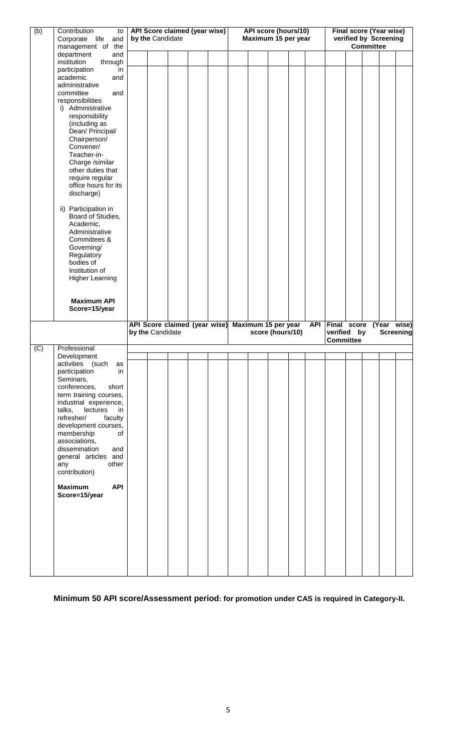| (b) | Contribution<br>to                    |                                                   |                               |  |  |  |                                             |                     |                  |  |            |                                                         |  |  |             |  |
|-----|---------------------------------------|---------------------------------------------------|-------------------------------|--|--|--|---------------------------------------------|---------------------|------------------|--|------------|---------------------------------------------------------|--|--|-------------|--|
|     | Corporate life<br>and                 | API Score claimed (year wise)<br>by the Candidate |                               |  |  |  | API score (hours/10)<br>Maximum 15 per year |                     |                  |  |            | <b>Final score (Year wise)</b><br>verified by Screening |  |  |             |  |
|     | management of the                     |                                                   |                               |  |  |  |                                             | <b>Committee</b>    |                  |  |            |                                                         |  |  |             |  |
|     | department<br>and                     |                                                   |                               |  |  |  |                                             |                     |                  |  |            |                                                         |  |  |             |  |
|     | institution<br>through                |                                                   |                               |  |  |  |                                             |                     |                  |  |            |                                                         |  |  |             |  |
|     |                                       |                                                   |                               |  |  |  |                                             |                     |                  |  |            |                                                         |  |  |             |  |
|     | participation<br>in                   |                                                   |                               |  |  |  |                                             |                     |                  |  |            |                                                         |  |  |             |  |
|     | academic<br>and                       |                                                   |                               |  |  |  |                                             |                     |                  |  |            |                                                         |  |  |             |  |
|     | administrative                        |                                                   |                               |  |  |  |                                             |                     |                  |  |            |                                                         |  |  |             |  |
|     | committee<br>and                      |                                                   |                               |  |  |  |                                             |                     |                  |  |            |                                                         |  |  |             |  |
|     | responsibilities                      |                                                   |                               |  |  |  |                                             |                     |                  |  |            |                                                         |  |  |             |  |
|     | i) Administrative                     |                                                   |                               |  |  |  |                                             |                     |                  |  |            |                                                         |  |  |             |  |
|     | responsibility                        |                                                   |                               |  |  |  |                                             |                     |                  |  |            |                                                         |  |  |             |  |
|     | (including as                         |                                                   |                               |  |  |  |                                             |                     |                  |  |            |                                                         |  |  |             |  |
|     | Dean/ Principal/                      |                                                   |                               |  |  |  |                                             |                     |                  |  |            |                                                         |  |  |             |  |
|     | Chairperson/                          |                                                   |                               |  |  |  |                                             |                     |                  |  |            |                                                         |  |  |             |  |
|     | Convener/                             |                                                   |                               |  |  |  |                                             |                     |                  |  |            |                                                         |  |  |             |  |
|     | Teacher-in-                           |                                                   |                               |  |  |  |                                             |                     |                  |  |            |                                                         |  |  |             |  |
|     | Charge /similar                       |                                                   |                               |  |  |  |                                             |                     |                  |  |            |                                                         |  |  |             |  |
|     | other duties that                     |                                                   |                               |  |  |  |                                             |                     |                  |  |            |                                                         |  |  |             |  |
|     | require regular                       |                                                   |                               |  |  |  |                                             |                     |                  |  |            |                                                         |  |  |             |  |
|     | office hours for its                  |                                                   |                               |  |  |  |                                             |                     |                  |  |            |                                                         |  |  |             |  |
|     |                                       |                                                   |                               |  |  |  |                                             |                     |                  |  |            |                                                         |  |  |             |  |
|     | discharge)                            |                                                   |                               |  |  |  |                                             |                     |                  |  |            |                                                         |  |  |             |  |
|     |                                       |                                                   |                               |  |  |  |                                             |                     |                  |  |            |                                                         |  |  |             |  |
|     | ii) Participation in                  |                                                   |                               |  |  |  |                                             |                     |                  |  |            |                                                         |  |  |             |  |
|     | Board of Studies,                     |                                                   |                               |  |  |  |                                             |                     |                  |  |            |                                                         |  |  |             |  |
|     | Academic,                             |                                                   |                               |  |  |  |                                             |                     |                  |  |            |                                                         |  |  |             |  |
|     | Administrative                        |                                                   |                               |  |  |  |                                             |                     |                  |  |            |                                                         |  |  |             |  |
|     | Committees &                          |                                                   |                               |  |  |  |                                             |                     |                  |  |            |                                                         |  |  |             |  |
|     | Governing/                            |                                                   |                               |  |  |  |                                             |                     |                  |  |            |                                                         |  |  |             |  |
|     | Regulatory                            |                                                   |                               |  |  |  |                                             |                     |                  |  |            |                                                         |  |  |             |  |
|     | bodies of                             |                                                   |                               |  |  |  |                                             |                     |                  |  |            |                                                         |  |  |             |  |
|     | Institution of                        |                                                   |                               |  |  |  |                                             |                     |                  |  |            |                                                         |  |  |             |  |
|     |                                       |                                                   |                               |  |  |  |                                             |                     |                  |  |            |                                                         |  |  |             |  |
|     | <b>Higher Learning</b>                |                                                   |                               |  |  |  |                                             |                     |                  |  |            |                                                         |  |  |             |  |
|     |                                       |                                                   |                               |  |  |  |                                             |                     |                  |  |            |                                                         |  |  |             |  |
|     |                                       |                                                   |                               |  |  |  |                                             |                     |                  |  |            |                                                         |  |  |             |  |
|     | <b>Maximum API</b>                    |                                                   |                               |  |  |  |                                             |                     |                  |  |            |                                                         |  |  |             |  |
|     |                                       |                                                   |                               |  |  |  |                                             |                     |                  |  |            |                                                         |  |  |             |  |
|     | Score=15/year                         |                                                   |                               |  |  |  |                                             |                     |                  |  |            |                                                         |  |  |             |  |
|     |                                       |                                                   |                               |  |  |  |                                             |                     |                  |  |            |                                                         |  |  |             |  |
|     |                                       |                                                   | API Score claimed (year wise) |  |  |  |                                             | Maximum 15 per year |                  |  | <b>API</b> | Final score                                             |  |  | (Year wise) |  |
|     |                                       |                                                   | by the Candidate              |  |  |  |                                             |                     | score (hours/10) |  |            | verified by                                             |  |  | Screening   |  |
|     |                                       |                                                   |                               |  |  |  |                                             |                     |                  |  |            | <b>Committee</b>                                        |  |  |             |  |
| (C) | Professional                          |                                                   |                               |  |  |  |                                             |                     |                  |  |            |                                                         |  |  |             |  |
|     | Development                           |                                                   |                               |  |  |  |                                             |                     |                  |  |            |                                                         |  |  |             |  |
|     | as                                    |                                                   |                               |  |  |  |                                             |                     |                  |  |            |                                                         |  |  |             |  |
|     | (such<br>activities                   |                                                   |                               |  |  |  |                                             |                     |                  |  |            |                                                         |  |  |             |  |
|     | participation<br>in                   |                                                   |                               |  |  |  |                                             |                     |                  |  |            |                                                         |  |  |             |  |
|     | Seminars,                             |                                                   |                               |  |  |  |                                             |                     |                  |  |            |                                                         |  |  |             |  |
|     | conferences,<br>short                 |                                                   |                               |  |  |  |                                             |                     |                  |  |            |                                                         |  |  |             |  |
|     | term training courses,                |                                                   |                               |  |  |  |                                             |                     |                  |  |            |                                                         |  |  |             |  |
|     | industrial experience,                |                                                   |                               |  |  |  |                                             |                     |                  |  |            |                                                         |  |  |             |  |
|     | talks,<br>lectures<br>in              |                                                   |                               |  |  |  |                                             |                     |                  |  |            |                                                         |  |  |             |  |
|     | refresher/<br>faculty                 |                                                   |                               |  |  |  |                                             |                     |                  |  |            |                                                         |  |  |             |  |
|     | development courses,                  |                                                   |                               |  |  |  |                                             |                     |                  |  |            |                                                         |  |  |             |  |
|     | membership<br>of                      |                                                   |                               |  |  |  |                                             |                     |                  |  |            |                                                         |  |  |             |  |
|     |                                       |                                                   |                               |  |  |  |                                             |                     |                  |  |            |                                                         |  |  |             |  |
|     | associations,<br>dissemination<br>and |                                                   |                               |  |  |  |                                             |                     |                  |  |            |                                                         |  |  |             |  |
|     |                                       |                                                   |                               |  |  |  |                                             |                     |                  |  |            |                                                         |  |  |             |  |
|     | general articles and                  |                                                   |                               |  |  |  |                                             |                     |                  |  |            |                                                         |  |  |             |  |
|     | other<br>any                          |                                                   |                               |  |  |  |                                             |                     |                  |  |            |                                                         |  |  |             |  |
|     | contribution)                         |                                                   |                               |  |  |  |                                             |                     |                  |  |            |                                                         |  |  |             |  |
|     |                                       |                                                   |                               |  |  |  |                                             |                     |                  |  |            |                                                         |  |  |             |  |
|     | <b>Maximum</b><br><b>API</b>          |                                                   |                               |  |  |  |                                             |                     |                  |  |            |                                                         |  |  |             |  |
|     | Score=15/year                         |                                                   |                               |  |  |  |                                             |                     |                  |  |            |                                                         |  |  |             |  |
|     |                                       |                                                   |                               |  |  |  |                                             |                     |                  |  |            |                                                         |  |  |             |  |
|     |                                       |                                                   |                               |  |  |  |                                             |                     |                  |  |            |                                                         |  |  |             |  |
|     |                                       |                                                   |                               |  |  |  |                                             |                     |                  |  |            |                                                         |  |  |             |  |
|     |                                       |                                                   |                               |  |  |  |                                             |                     |                  |  |            |                                                         |  |  |             |  |
|     |                                       |                                                   |                               |  |  |  |                                             |                     |                  |  |            |                                                         |  |  |             |  |
|     |                                       |                                                   |                               |  |  |  |                                             |                     |                  |  |            |                                                         |  |  |             |  |
|     |                                       |                                                   |                               |  |  |  |                                             |                     |                  |  |            |                                                         |  |  |             |  |
|     |                                       |                                                   |                               |  |  |  |                                             |                     |                  |  |            |                                                         |  |  |             |  |
|     |                                       |                                                   |                               |  |  |  |                                             |                     |                  |  |            |                                                         |  |  |             |  |

**Minimum 50 API score/Assessment period: for promotion under CAS is required in Category-II.**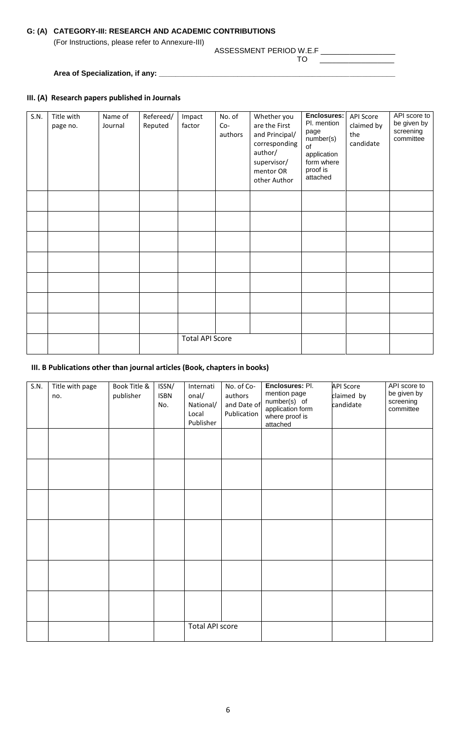### **G: (A) CATEGORY-III: RESEARCH AND ACADEMIC CONTRIBUTIONS**

(For Instructions, please refer to Annexure-III)

#### ASSESSMENT PERIOD W.E.F \_\_\_\_\_\_\_\_\_\_\_\_\_\_\_\_\_\_

TO \_\_\_\_\_\_\_\_\_\_\_\_\_\_\_\_\_\_

# Area of Specialization, if any: \_\_\_\_\_\_\_\_\_\_\_\_\_

#### **III. (A) Research papers published in Journals**

| S.N. | Title with<br>page no. | Name of<br>Journal | Refereed/<br>Reputed | Impact<br>factor       | No. of<br>$Co-$<br>authors | Whether you<br>are the First<br>and Principal/<br>corresponding<br>author/<br>supervisor/<br>mentor OR<br>other Author | <b>Enclosures:</b><br>Pl. mention<br>page<br>number(s)<br>of<br>application<br>form where<br>proof is<br>attached | <b>API Score</b><br>claimed by<br>the<br>candidate | API score to<br>be given by<br>screening<br>committee |
|------|------------------------|--------------------|----------------------|------------------------|----------------------------|------------------------------------------------------------------------------------------------------------------------|-------------------------------------------------------------------------------------------------------------------|----------------------------------------------------|-------------------------------------------------------|
|      |                        |                    |                      |                        |                            |                                                                                                                        |                                                                                                                   |                                                    |                                                       |
|      |                        |                    |                      |                        |                            |                                                                                                                        |                                                                                                                   |                                                    |                                                       |
|      |                        |                    |                      |                        |                            |                                                                                                                        |                                                                                                                   |                                                    |                                                       |
|      |                        |                    |                      |                        |                            |                                                                                                                        |                                                                                                                   |                                                    |                                                       |
|      |                        |                    |                      |                        |                            |                                                                                                                        |                                                                                                                   |                                                    |                                                       |
|      |                        |                    |                      |                        |                            |                                                                                                                        |                                                                                                                   |                                                    |                                                       |
|      |                        |                    |                      |                        |                            |                                                                                                                        |                                                                                                                   |                                                    |                                                       |
|      |                        |                    |                      | <b>Total API Score</b> |                            |                                                                                                                        |                                                                                                                   |                                                    |                                                       |

#### **III. B Publications other than journal articles (Book, chapters in books)**

| S.N. | Title with page<br>no. | Book Title &<br>publisher | ISSN/<br><b>ISBN</b><br>No. | Internati<br>onal/<br>National/<br>Local<br>Publisher | No. of Co-<br>authors<br>and Date of<br>Publication | Enclosures: Pl.<br>mention page<br>number(s) of<br>application form<br>where proof is<br>attached | <b>API Score</b><br>claimed by<br>candidate | API score to<br>be given by<br>screening<br>committee |
|------|------------------------|---------------------------|-----------------------------|-------------------------------------------------------|-----------------------------------------------------|---------------------------------------------------------------------------------------------------|---------------------------------------------|-------------------------------------------------------|
|      |                        |                           |                             |                                                       |                                                     |                                                                                                   |                                             |                                                       |
|      |                        |                           |                             |                                                       |                                                     |                                                                                                   |                                             |                                                       |
|      |                        |                           |                             |                                                       |                                                     |                                                                                                   |                                             |                                                       |
|      |                        |                           |                             |                                                       |                                                     |                                                                                                   |                                             |                                                       |
|      |                        |                           |                             |                                                       |                                                     |                                                                                                   |                                             |                                                       |
|      |                        |                           |                             |                                                       |                                                     |                                                                                                   |                                             |                                                       |
|      |                        |                           |                             | <b>Total API score</b>                                |                                                     |                                                                                                   |                                             |                                                       |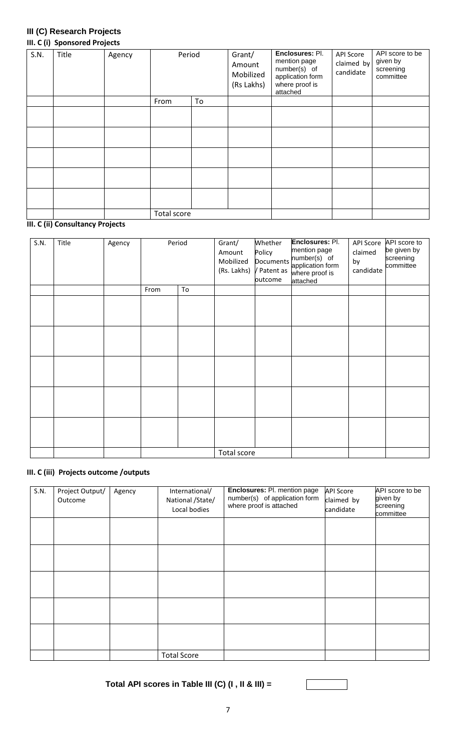#### **III (C) Research Projects III. C (i) Sponsored Projects**

| S.N. | Title | Agency | Period      |    | Grant/<br>Amount<br>Mobilized<br>(Rs Lakhs) | Enclosures: Pl.<br>mention page<br>number(s) of<br>application form<br>where proof is<br>attached | <b>API Score</b><br>claimed by<br>candidate | API score to be<br>given by<br>screening<br>committee |
|------|-------|--------|-------------|----|---------------------------------------------|---------------------------------------------------------------------------------------------------|---------------------------------------------|-------------------------------------------------------|
|      |       |        | From        | To |                                             |                                                                                                   |                                             |                                                       |
|      |       |        |             |    |                                             |                                                                                                   |                                             |                                                       |
|      |       |        |             |    |                                             |                                                                                                   |                                             |                                                       |
|      |       |        |             |    |                                             |                                                                                                   |                                             |                                                       |
|      |       |        |             |    |                                             |                                                                                                   |                                             |                                                       |
|      |       |        |             |    |                                             |                                                                                                   |                                             |                                                       |
|      |       |        | Total score |    |                                             |                                                                                                   |                                             |                                                       |

# **III. C (ii) Consultancy Projects**

| S.N. | Title | Agency | Period |    | Grant/<br>Amount<br>Mobilized | Whether<br>Policy<br><b>Documents</b><br>(Rs. Lakhs) / Patent as<br>outcome | Enclosures: Pl.<br>mention page<br>number(s) of<br>application form<br>where proof is<br>attached | API Score<br>claimed<br>by<br>candidate | API score to<br>be given by<br>screening<br>committee |
|------|-------|--------|--------|----|-------------------------------|-----------------------------------------------------------------------------|---------------------------------------------------------------------------------------------------|-----------------------------------------|-------------------------------------------------------|
|      |       |        | From   | To |                               |                                                                             |                                                                                                   |                                         |                                                       |
|      |       |        |        |    |                               |                                                                             |                                                                                                   |                                         |                                                       |
|      |       |        |        |    |                               |                                                                             |                                                                                                   |                                         |                                                       |
|      |       |        |        |    |                               |                                                                             |                                                                                                   |                                         |                                                       |
|      |       |        |        |    |                               |                                                                             |                                                                                                   |                                         |                                                       |
|      |       |        |        |    |                               |                                                                             |                                                                                                   |                                         |                                                       |
|      |       |        |        |    | Total score                   |                                                                             |                                                                                                   |                                         |                                                       |

#### **III. C (iii) Projects outcome /outputs**

| S.N. | Project Output/<br>Outcome | Agency | International/<br>National /State/<br>Local bodies | Enclosures: Pl. mention page<br>number(s) of application form<br>where proof is attached | <b>API Score</b><br>claimed by<br>candidate | API score to be<br>given by<br>screening<br>committee |
|------|----------------------------|--------|----------------------------------------------------|------------------------------------------------------------------------------------------|---------------------------------------------|-------------------------------------------------------|
|      |                            |        |                                                    |                                                                                          |                                             |                                                       |
|      |                            |        |                                                    |                                                                                          |                                             |                                                       |
|      |                            |        |                                                    |                                                                                          |                                             |                                                       |
|      |                            |        |                                                    |                                                                                          |                                             |                                                       |
|      |                            |        |                                                    |                                                                                          |                                             |                                                       |
|      |                            |        | <b>Total Score</b>                                 |                                                                                          |                                             |                                                       |

**Total API scores in Table III (C) (I , II & III) =**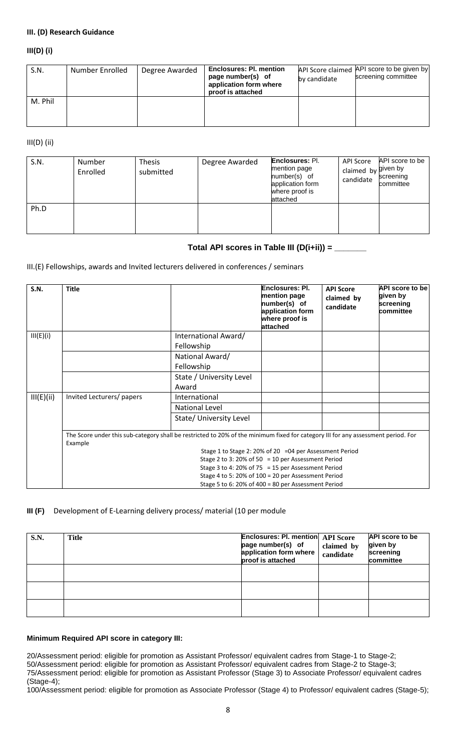#### **III. (D) Research Guidance**

#### **III(D) (i)**

| S.N.    | Number Enrolled | Degree Awarded | <b>Enclosures: PI. mention</b><br>page number(s) of<br>application form where<br>proof is attached | by candidate | API Score claimed API score to be given by<br>screening committee |
|---------|-----------------|----------------|----------------------------------------------------------------------------------------------------|--------------|-------------------------------------------------------------------|
| M. Phil |                 |                |                                                                                                    |              |                                                                   |

III(D) (ii)

| S.N. | Number<br>Enrolled | <b>Thesis</b><br>submitted | Degree Awarded | <b>Enclosures: Pl.</b><br>mention page<br>number(s) of<br>application form<br>where proof is<br>attached | API Score<br>claimed by given by<br>candidate | API score to be<br>screening<br>committee |
|------|--------------------|----------------------------|----------------|----------------------------------------------------------------------------------------------------------|-----------------------------------------------|-------------------------------------------|
| Ph.D |                    |                            |                |                                                                                                          |                                               |                                           |

#### **Total API scores in Table III (D(i+ii)) = \_\_\_\_\_\_\_**

III.(E) Fellowships, awards and Invited lecturers delivered in conferences / seminars

| S.N.                                               | <b>Title</b>              |                                                                                                                                   | Enclosures: PI.<br>mention page<br>number(s) of<br>application form<br>where proof is<br>attached          | <b>API Score</b><br>claimed by<br>candidate | <b>API score to be</b><br>given by<br>screening<br>committee |  |  |
|----------------------------------------------------|---------------------------|-----------------------------------------------------------------------------------------------------------------------------------|------------------------------------------------------------------------------------------------------------|---------------------------------------------|--------------------------------------------------------------|--|--|
| III(E)(i)                                          |                           | International Award/                                                                                                              |                                                                                                            |                                             |                                                              |  |  |
|                                                    |                           | Fellowship                                                                                                                        |                                                                                                            |                                             |                                                              |  |  |
|                                                    |                           | National Award/                                                                                                                   |                                                                                                            |                                             |                                                              |  |  |
|                                                    |                           | Fellowship                                                                                                                        |                                                                                                            |                                             |                                                              |  |  |
|                                                    |                           | State / University Level                                                                                                          |                                                                                                            |                                             |                                                              |  |  |
|                                                    |                           | Award                                                                                                                             |                                                                                                            |                                             |                                                              |  |  |
| III(E)(ii)                                         | Invited Lecturers/ papers | International                                                                                                                     |                                                                                                            |                                             |                                                              |  |  |
|                                                    |                           | <b>National Level</b>                                                                                                             |                                                                                                            |                                             |                                                              |  |  |
|                                                    |                           | State/ University Level                                                                                                           |                                                                                                            |                                             |                                                              |  |  |
|                                                    | Example                   | The Score under this sub-category shall be restricted to 20% of the minimum fixed for category III for any assessment period. For |                                                                                                            |                                             |                                                              |  |  |
|                                                    |                           |                                                                                                                                   | Stage 1 to Stage 2: 20% of 20 = 04 per Assessment Period                                                   |                                             |                                                              |  |  |
| Stage 2 to 3: 20% of 50 = 10 per Assessment Period |                           |                                                                                                                                   |                                                                                                            |                                             |                                                              |  |  |
|                                                    |                           |                                                                                                                                   | Stage 3 to 4: 20% of 75 = 15 per Assessment Period                                                         |                                             |                                                              |  |  |
|                                                    |                           |                                                                                                                                   | Stage 4 to 5: 20% of 100 = 20 per Assessment Period<br>Stage 5 to 6: 20% of 400 = 80 per Assessment Period |                                             |                                                              |  |  |

#### **III (F)** Development of E-Learning delivery process/ material (10 per module

| S.N. | <b>Title</b> | <b>Enclosures: Pl. mention API Score</b><br>page number(s) of<br>application form where<br>proof is attached | claimed by<br>candidate | <b>API</b> score to be<br>given by<br>screening<br>committee |
|------|--------------|--------------------------------------------------------------------------------------------------------------|-------------------------|--------------------------------------------------------------|
|      |              |                                                                                                              |                         |                                                              |
|      |              |                                                                                                              |                         |                                                              |
|      |              |                                                                                                              |                         |                                                              |

#### **Minimum Required API score in category III:**

20/Assessment period: eligible for promotion as Assistant Professor/ equivalent cadres from Stage-1 to Stage-2;

50/Assessment period: eligible for promotion as Assistant Professor/ equivalent cadres from Stage-2 to Stage-3;

75/Assessment period: eligible for promotion as Assistant Professor (Stage 3) to Associate Professor/ equivalent cadres (Stage-4);

100/Assessment period: eligible for promotion as Associate Professor (Stage 4) to Professor/ equivalent cadres (Stage-5);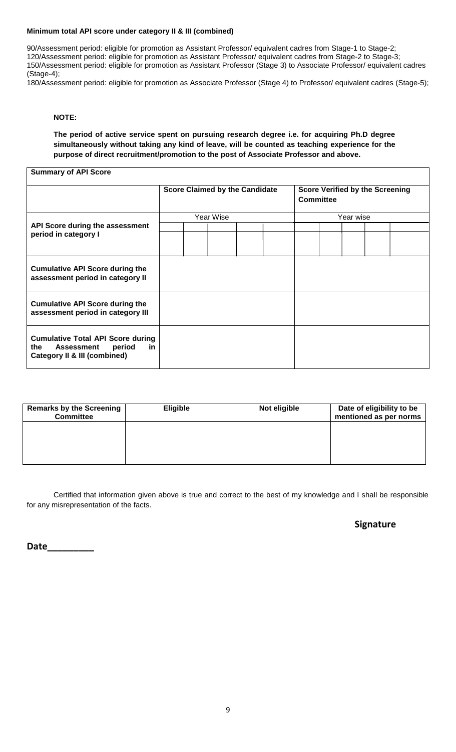#### **Minimum total API score under category II & III (combined)**

90/Assessment period: eligible for promotion as Assistant Professor/ equivalent cadres from Stage-1 to Stage-2; 120/Assessment period: eligible for promotion as Assistant Professor/ equivalent cadres from Stage-2 to Stage-3; 150/Assessment period: eligible for promotion as Assistant Professor (Stage 3) to Associate Professor/ equivalent cadres (Stage-4);

180/Assessment period: eligible for promotion as Associate Professor (Stage 4) to Professor/ equivalent cadres (Stage-5);

#### **NOTE:**

**The period of active service spent on pursuing research degree i.e. for acquiring Ph.D degree simultaneously without taking any kind of leave, will be counted as teaching experience for the purpose of direct recruitment/promotion to the post of Associate Professor and above.**

**Summary of API Score**

|                                                                                                                | <b>Score Claimed by the Candidate</b><br>Committee |  |           |  | <b>Score Verified by the Screening</b> |           |  |  |
|----------------------------------------------------------------------------------------------------------------|----------------------------------------------------|--|-----------|--|----------------------------------------|-----------|--|--|
|                                                                                                                |                                                    |  | Year Wise |  |                                        | Year wise |  |  |
| API Score during the assessment<br>period in category I                                                        |                                                    |  |           |  |                                        |           |  |  |
| <b>Cumulative API Score during the</b><br>assessment period in category II                                     |                                                    |  |           |  |                                        |           |  |  |
| <b>Cumulative API Score during the</b><br>assessment period in category III                                    |                                                    |  |           |  |                                        |           |  |  |
| <b>Cumulative Total API Score during</b><br>period<br>the<br>in.<br>Assessment<br>Category II & III (combined) |                                                    |  |           |  |                                        |           |  |  |

| <b>Remarks by the Screening</b><br><b>Committee</b> | <b>Eligible</b> | Not eligible | Date of eligibility to be<br>mentioned as per norms |
|-----------------------------------------------------|-----------------|--------------|-----------------------------------------------------|
|                                                     |                 |              |                                                     |
|                                                     |                 |              |                                                     |
|                                                     |                 |              |                                                     |

Certified that information given above is true and correct to the best of my knowledge and I shall be responsible for any misrepresentation of the facts.

#### **Signature**

**Date\_\_\_\_\_\_\_\_\_**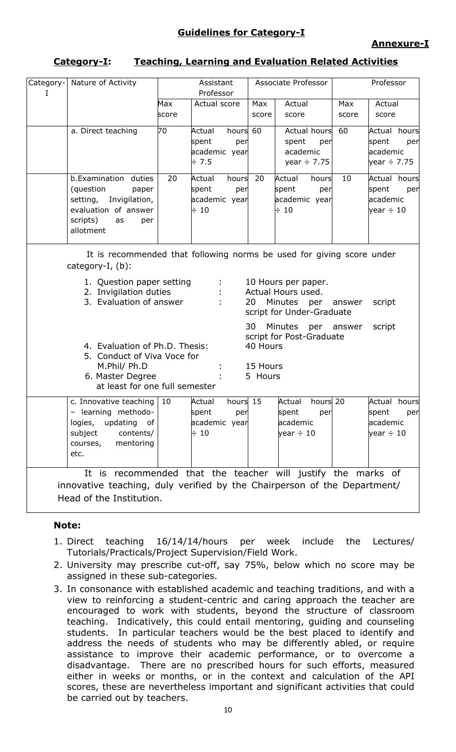# **Category-I: Teaching, Learning and Evaluation Related Activities**

| Category-<br>Ι | Nature of Activity                                                                                                                                                                                                                                                                                                                                                        |       | Assistant<br>Professor                                           |                                 | Associate Professor                                                 |       | Professor                                                  |  |  |  |
|----------------|---------------------------------------------------------------------------------------------------------------------------------------------------------------------------------------------------------------------------------------------------------------------------------------------------------------------------------------------------------------------------|-------|------------------------------------------------------------------|---------------------------------|---------------------------------------------------------------------|-------|------------------------------------------------------------|--|--|--|
|                |                                                                                                                                                                                                                                                                                                                                                                           | Max   | Actual score                                                     | Max                             | Actual                                                              | Max   | Actual                                                     |  |  |  |
|                |                                                                                                                                                                                                                                                                                                                                                                           | score |                                                                  | score                           | score                                                               | score | score                                                      |  |  |  |
|                | a. Direct teaching                                                                                                                                                                                                                                                                                                                                                        | 70    | Actual<br>hours<br>spent<br>per<br>academic year<br>± 7.5        | 60                              | <b>Actual hours</b><br>spent<br>per<br>academic<br>year $\div$ 7.75 | 60    | Actual hours<br>spent<br>per<br>lacademic<br>year ÷ 7.75   |  |  |  |
|                | b.Examination<br>duties<br>(question<br>paper<br>Invigilation,<br>setting,<br>evaluation of answer<br>scripts)<br>as<br>per<br>allotment                                                                                                                                                                                                                                  | 20    | hours<br>Actual<br>spent<br>per<br>academic year<br>$\div$ 10    | 20                              | hours<br>Actual<br>spent<br>per<br>academic year<br>$\div$ 10       | 10    | Actual hours<br>spent<br>per<br>academic<br>year $\div$ 10 |  |  |  |
|                | It is recommended that following norms be used for giving score under<br>category-I, $(b)$ :<br>1. Question paper setting<br>10 Hours per paper.<br>2. Invigilation duties<br>Actual Hours used.<br>3. Evaluation of answer<br>20<br>Minutes<br>per<br>script<br>answer<br>script for Under-Graduate<br>30<br>Minutes<br>per answer<br>script<br>script for Post-Graduate |       |                                                                  |                                 |                                                                     |       |                                                            |  |  |  |
|                | 4. Evaluation of Ph.D. Thesis:<br>5. Conduct of Viva Voce for<br>M.Phil/ Ph.D<br>6. Master Degree<br>at least for one full semester                                                                                                                                                                                                                                       |       |                                                                  | 40 Hours<br>15 Hours<br>5 Hours |                                                                     |       |                                                            |  |  |  |
|                | c. Innovative teaching $ 10$<br>- learning methodo-<br>logies, updating of<br>contents/<br>subject<br>mentoring<br>courses,<br>etc.                                                                                                                                                                                                                                       |       | hours 15<br>Actual<br>spent<br>per<br>academic year<br>$\div$ 10 |                                 | hours 20<br>Actual<br>spent<br>per<br>academic<br>vear $\div$ 10    |       | Actual hours<br>per<br>spent<br>academic<br>year $\div$ 10 |  |  |  |
|                | It is recommended that the teacher will justify the marks of<br>innovative teaching, duly verified by the Chairperson of the Department/<br>Head of the Institution.                                                                                                                                                                                                      |       |                                                                  |                                 |                                                                     |       |                                                            |  |  |  |

## **Note:**

- 1. Direct teaching 16/14/14/hours per week include the Lectures/ Tutorials/Practicals/Project Supervision/Field Work.
- 2. University may prescribe cut-off, say 75%, below which no score may be assigned in these sub-categories.
- 3. In consonance with established academic and teaching traditions, and with a view to reinforcing a student-centric and caring approach the teacher are encouraged to work with students, beyond the structure of classroom teaching. Indicatively, this could entail mentoring, guiding and counseling students. In particular teachers would be the best placed to identify and address the needs of students who may be differently abled, or require assistance to improve their academic performance, or to overcome a disadvantage. There are no prescribed hours for such efforts, measured either in weeks or months, or in the context and calculation of the API scores, these are nevertheless important and significant activities that could be carried out by teachers.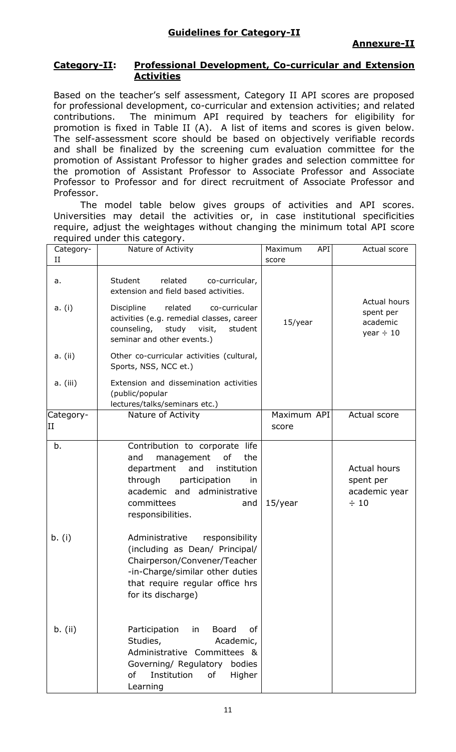## **Category-II: Professional Development, Co-curricular and Extension Activities**

Based on the teacher's self assessment, Category II API scores are proposed for professional development, co-curricular and extension activities; and related contributions. The minimum API required by teachers for eligibility for promotion is fixed in Table II (A). A list of items and scores is given below. The self-assessment score should be based on objectively verifiable records and shall be finalized by the screening cum evaluation committee for the promotion of Assistant Professor to higher grades and selection committee for the promotion of Assistant Professor to Associate Professor and Associate Professor to Professor and for direct recruitment of Associate Professor and Professor.

The model table below gives groups of activities and API scores. Universities may detail the activities or, in case institutional specificities require, adjust the weightages without changing the minimum total API score required under this category.

| Category-<br>П  | Nature of Activity                                                                                                                                                                                                 | API<br>Maximum<br>score | Actual score                                                   |
|-----------------|--------------------------------------------------------------------------------------------------------------------------------------------------------------------------------------------------------------------|-------------------------|----------------------------------------------------------------|
| a.<br>a. (i)    | Student<br>related<br>co-curricular,<br>extension and field based activities.<br>Discipline<br>related<br>co-curricular<br>activities (e.g. remedial classes, career                                               | 15/year                 | Actual hours<br>spent per<br>academic                          |
|                 | counseling,<br>study visit,<br>student<br>seminar and other events.)                                                                                                                                               |                         | year $\div$ 10                                                 |
| a. (ii)         | Other co-curricular activities (cultural,<br>Sports, NSS, NCC et.)                                                                                                                                                 |                         |                                                                |
| a. (iii)        | Extension and dissemination activities<br>(public/popular<br>lectures/talks/seminars etc.)                                                                                                                         |                         |                                                                |
| Category-<br>II | Nature of Activity                                                                                                                                                                                                 | Maximum API<br>score    | Actual score                                                   |
| b.              | Contribution to corporate life<br>and<br>management<br>οf<br>the<br>department<br>and<br>institution<br>through<br>participation<br>in<br>academic and<br>administrative<br>committees<br>and<br>responsibilities. | $15$ /year              | <b>Actual hours</b><br>spent per<br>academic year<br>$\div$ 10 |
| b. (i)          | Administrative<br>responsibility<br>(including as Dean/ Principal/<br>Chairperson/Convener/Teacher<br>-in-Charge/similar other duties<br>that require regular office hrs<br>for its discharge)                     |                         |                                                                |
| $b.$ (ii)       | Participation<br><b>Board</b><br>in<br>οf<br>Studies,<br>Academic,<br>Administrative Committees &<br>Governing/ Regulatory<br>bodies<br>of<br>Institution<br>of<br>Higher<br>Learning                              |                         |                                                                |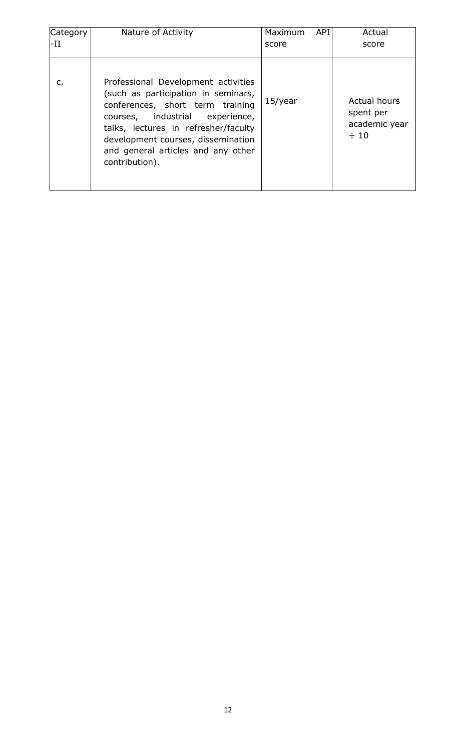| Category | Nature of Activity                                                                                                                                                                                                                                                                         | API<br><b>Maximum</b> | Actual                                                  |
|----------|--------------------------------------------------------------------------------------------------------------------------------------------------------------------------------------------------------------------------------------------------------------------------------------------|-----------------------|---------------------------------------------------------|
| -II      |                                                                                                                                                                                                                                                                                            | score                 | score                                                   |
| C.       | Professional Development activities<br>(such as participation in seminars,<br>conferences, short term training<br>courses, industrial<br>experience,<br>talks, lectures in refresher/faculty<br>development courses, dissemination<br>and general articles and any other<br>contribution). | $15$ /year            | Actual hours<br>spent per<br>academic year<br>$\div$ 10 |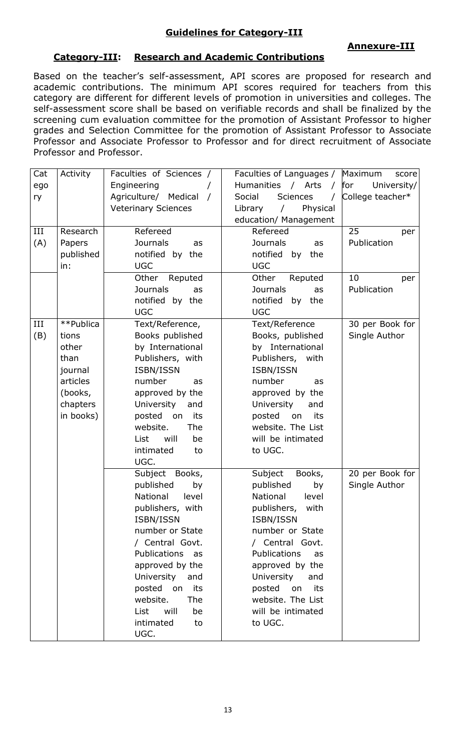# **Guidelines for Category-III**

# **Annexure-III**

# **Category-III: Research and Academic Contributions**

Based on the teacher's self-assessment, API scores are proposed for research and academic contributions. The minimum API scores required for teachers from this category are different for different levels of promotion in universities and colleges. The self-assessment score shall be based on verifiable records and shall be finalized by the screening cum evaluation committee for the promotion of Assistant Professor to higher grades and Selection Committee for the promotion of Assistant Professor to Associate Professor and Associate Professor to Professor and for direct recruitment of Associate Professor and Professor.

| Cat | Activity  | Faculties of Sciences /    | Faculties of Languages / Maximum      | score              |
|-----|-----------|----------------------------|---------------------------------------|--------------------|
| ego |           | Engineering                | Humanities / Arts<br>$\sqrt{ }$       | for<br>University/ |
| ry  |           | Agriculture/ Medical /     | Social<br><b>Sciences</b><br>$\prime$ | College teacher*   |
|     |           | <b>Veterinary Sciences</b> | Library<br>Physical<br>$\sqrt{2}$     |                    |
|     |           |                            | education/ Management                 |                    |
| III | Research  | Refereed                   | Refereed                              | 25<br>per          |
| (A) | Papers    | <b>Journals</b><br>as      | <b>Journals</b><br>as                 | Publication        |
|     | published | notified by the            | notified<br>by<br>the                 |                    |
|     | in:       | <b>UGC</b>                 | <b>UGC</b>                            |                    |
|     |           | Other Reputed              | Other<br>Reputed                      | 10<br>per          |
|     |           | <b>Journals</b><br>as      | <b>Journals</b><br>as                 | Publication        |
|     |           | notified by the            | notified<br>by the                    |                    |
|     |           | <b>UGC</b>                 | <b>UGC</b>                            |                    |
| III | **Publica | Text/Reference,            | Text/Reference                        | 30 per Book for    |
| (B) | tions     | Books published            | Books, published                      | Single Author      |
|     | other     | by International           | by International                      |                    |
|     | than      | Publishers, with           | Publishers, with                      |                    |
|     | journal   | ISBN/ISSN                  | ISBN/ISSN                             |                    |
|     | articles  | number<br>as               | number<br>as                          |                    |
|     | (books,   | approved by the            | approved by the                       |                    |
|     | chapters  | University<br>and          | University<br>and                     |                    |
|     | in books) | posted on<br>its           | posted<br>on<br>its                   |                    |
|     |           | website.<br>The            | website. The List                     |                    |
|     |           | will<br>List<br>be         | will be intimated                     |                    |
|     |           | intimated<br>to            | to UGC.                               |                    |
|     |           | UGC.                       |                                       |                    |
|     |           | Subject Books,             | Subject<br>Books,                     | 20 per Book for    |
|     |           | published<br>by            | published<br>by                       | Single Author      |
|     |           | National<br>level          | National<br>level                     |                    |
|     |           | publishers, with           | publishers, with                      |                    |
|     |           | ISBN/ISSN                  | ISBN/ISSN                             |                    |
|     |           | number or State            | number or State                       |                    |
|     |           | / Central Govt.            | / Central Govt.                       |                    |
|     |           | Publications as            | Publications<br>as                    |                    |
|     |           | approved by the            | approved by the                       |                    |
|     |           | University and             | University<br>and                     |                    |
|     |           | posted on<br>its           | posted on<br>its                      |                    |
|     |           | website.<br>The            | website. The List                     |                    |
|     |           | List<br>will<br>be         | will be intimated                     |                    |
|     |           | intimated<br>to            | to UGC.                               |                    |
|     |           | UGC.                       |                                       |                    |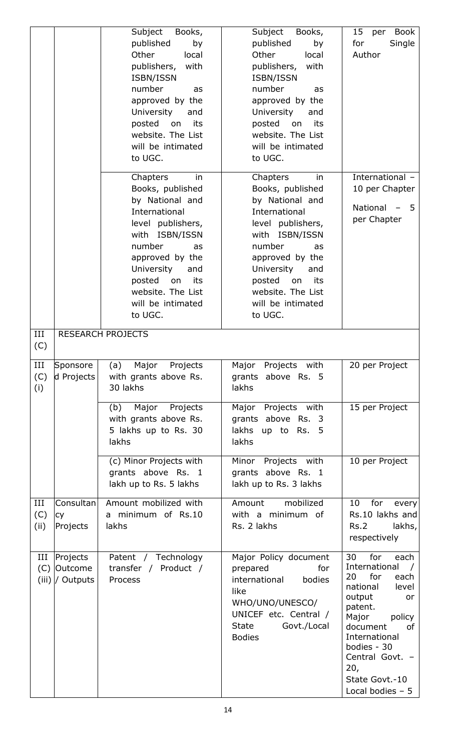|                    |                                              | Subject<br>Books,<br>published<br>by<br>Other<br>local<br>publishers,<br>with<br>ISBN/ISSN<br>number<br>as<br>approved by the<br>University<br>and<br>posted on<br>its<br>website. The List<br>will be intimated<br>to UGC.                       | Subject<br>Books,<br>published<br>by<br>Other<br>local<br>publishers,<br>with<br>ISBN/ISSN<br>number<br>as<br>approved by the<br>University<br>and<br>posted on<br>its<br>website. The List<br>will be intimated<br>to UGC.                       | 15<br><b>Book</b><br>per<br>Single<br>for<br>Author                                                                                                                                                                                           |
|--------------------|----------------------------------------------|---------------------------------------------------------------------------------------------------------------------------------------------------------------------------------------------------------------------------------------------------|---------------------------------------------------------------------------------------------------------------------------------------------------------------------------------------------------------------------------------------------------|-----------------------------------------------------------------------------------------------------------------------------------------------------------------------------------------------------------------------------------------------|
|                    |                                              | Chapters<br>in<br>Books, published<br>by National and<br>International<br>level publishers,<br>with ISBN/ISSN<br>number<br>as<br>approved by the<br>University<br>and<br>posted<br>its<br>on<br>website. The List<br>will be intimated<br>to UGC. | Chapters<br>in<br>Books, published<br>by National and<br>International<br>level publishers,<br>with ISBN/ISSN<br>number<br>as<br>approved by the<br>University<br>and<br>posted<br>its<br>on<br>website. The List<br>will be intimated<br>to UGC. | International -<br>10 per Chapter<br>National<br>-5<br>per Chapter                                                                                                                                                                            |
| III<br>(C)         |                                              | <b>RESEARCH PROJECTS</b>                                                                                                                                                                                                                          |                                                                                                                                                                                                                                                   |                                                                                                                                                                                                                                               |
| III<br>(C)<br>(i)  | Sponsore<br>d Projects                       | Major Projects<br>(a)<br>with grants above Rs.<br>30 lakhs                                                                                                                                                                                        | Major Projects with<br>grants above Rs. 5<br>lakhs                                                                                                                                                                                                | 20 per Project                                                                                                                                                                                                                                |
|                    |                                              | Major<br>Projects<br>(b)<br>with grants above Rs.<br>5 lakhs up to Rs. 30<br>lakhs                                                                                                                                                                | Major Projects with<br>grants above Rs. 3<br>lakhs up to Rs. 5<br>lakhs                                                                                                                                                                           | 15 per Project                                                                                                                                                                                                                                |
|                    |                                              | (c) Minor Projects with<br>grants above Rs. 1<br>lakh up to Rs. 5 lakhs                                                                                                                                                                           | Minor Projects with<br>grants above Rs. 1<br>lakh up to Rs. 3 lakhs                                                                                                                                                                               | 10 per Project                                                                                                                                                                                                                                |
| III<br>(C)<br>(ii) | Consultan<br><b>CY</b><br>Projects           | Amount mobilized with<br>a minimum of Rs.10<br>lakhs                                                                                                                                                                                              | mobilized<br>Amount<br>with a minimum of<br>Rs. 2 lakhs                                                                                                                                                                                           | for<br>10<br>every<br>Rs.10 lakhs and<br>Rs.2<br>lakhs,<br>respectively                                                                                                                                                                       |
| Ш                  | Projects<br>(C) Outcome<br>$(iii)$ / Outputs | Patent / Technology<br>transfer / Product /<br>Process                                                                                                                                                                                            | Major Policy document<br>prepared<br>for<br>international<br>bodies<br>like<br>WHO/UNO/UNESCO/<br>UNICEF etc. Central /<br>Govt./Local<br><b>State</b><br><b>Bodies</b>                                                                           | 30<br>for<br>each<br>International<br>for<br>20<br>each<br>national<br>level<br>output<br>or<br>patent.<br>Major<br>policy<br>document<br>0f<br>International<br>bodies - 30<br>Central Govt. -<br>20,<br>State Govt.-10<br>Local bodies $-5$ |